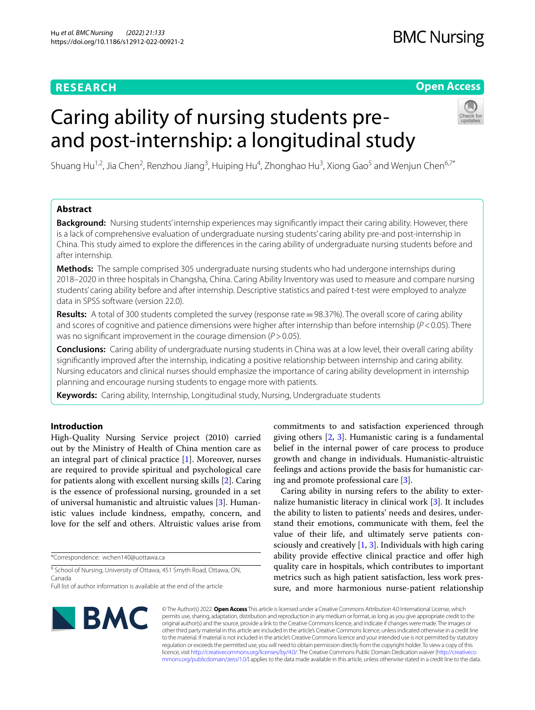# **RESEARCH**

# **Open Access**

# Caring ability of nursing students preand post-internship: a longitudinal study



Shuang Hu<sup>1,2</sup>, Jia Chen<sup>2</sup>, Renzhou Jiang<sup>3</sup>, Huiping Hu<sup>4</sup>, Zhonghao Hu<sup>3</sup>, Xiong Gao<sup>5</sup> and Wenjun Chen<sup>6,7\*</sup>

# **Abstract**

**Background:** Nursing students' internship experiences may signifcantly impact their caring ability. However, there is a lack of comprehensive evaluation of undergraduate nursing students' caring ability pre-and post-internship in China. This study aimed to explore the diferences in the caring ability of undergraduate nursing students before and after internship.

**Methods:** The sample comprised 305 undergraduate nursing students who had undergone internships during 2018–2020 in three hospitals in Changsha, China. Caring Ability Inventory was used to measure and compare nursing students' caring ability before and after internship. Descriptive statistics and paired t-test were employed to analyze data in SPSS software (version 22.0).

**Results:** A total of 300 students completed the survey (response rate = 98.37%). The overall score of caring ability and scores of cognitive and patience dimensions were higher after internship than before internship (*P*<0.05). There was no signifcant improvement in the courage dimension (*P*>0.05).

**Conclusions:** Caring ability of undergraduate nursing students in China was at a low level, their overall caring ability signifcantly improved after the internship, indicating a positive relationship between internship and caring ability. Nursing educators and clinical nurses should emphasize the importance of caring ability development in internship planning and encourage nursing students to engage more with patients.

**Keywords:** Caring ability, Internship, Longitudinal study, Nursing, Undergraduate students

# **Introduction**

High-Quality Nursing Service project (2010) carried out by the Ministry of Health of China mention care as an integral part of clinical practice [[1\]](#page-5-0). Moreover, nurses are required to provide spiritual and psychological care for patients along with excellent nursing skills [[2\]](#page-5-1). Caring is the essence of professional nursing, grounded in a set of universal humanistic and altruistic values [\[3](#page-5-2)]. Humanistic values include kindness, empathy, concern, and love for the self and others. Altruistic values arise from

\*Correspondence: wchen140@uottawa.ca

<sup>6</sup> School of Nursing, University of Ottawa, 451 Smyth Road, Ottawa, ON, Canada

commitments to and satisfaction experienced through giving others [\[2](#page-5-1), [3\]](#page-5-2). Humanistic caring is a fundamental belief in the internal power of care process to produce growth and change in individuals. Humanistic-altruistic feelings and actions provide the basis for humanistic caring and promote professional care [\[3\]](#page-5-2).

Caring ability in nursing refers to the ability to externalize humanistic literacy in clinical work [\[3](#page-5-2)]. It includes the ability to listen to patients' needs and desires, understand their emotions, communicate with them, feel the value of their life, and ultimately serve patients consciously and creatively  $[1, 3]$  $[1, 3]$  $[1, 3]$  $[1, 3]$  $[1, 3]$ . Individuals with high caring ability provide effective clinical practice and offer high quality care in hospitals, which contributes to important metrics such as high patient satisfaction, less work pressure, and more harmonious nurse-patient relationship



© The Author(s) 2022. **Open Access** This article is licensed under a Creative Commons Attribution 4.0 International License, which permits use, sharing, adaptation, distribution and reproduction in any medium or format, as long as you give appropriate credit to the original author(s) and the source, provide a link to the Creative Commons licence, and indicate if changes were made. The images or other third party material in this article are included in the article's Creative Commons licence, unless indicated otherwise in a credit line to the material. If material is not included in the article's Creative Commons licence and your intended use is not permitted by statutory regulation or exceeds the permitted use, you will need to obtain permission directly from the copyright holder. To view a copy of this licence, visit [http://creativecommons.org/licenses/by/4.0/.](http://creativecommons.org/licenses/by/4.0/) The Creative Commons Public Domain Dedication waiver ([http://creativeco](http://creativecommons.org/publicdomain/zero/1.0/) [mmons.org/publicdomain/zero/1.0/](http://creativecommons.org/publicdomain/zero/1.0/)) applies to the data made available in this article, unless otherwise stated in a credit line to the data.

Full list of author information is available at the end of the article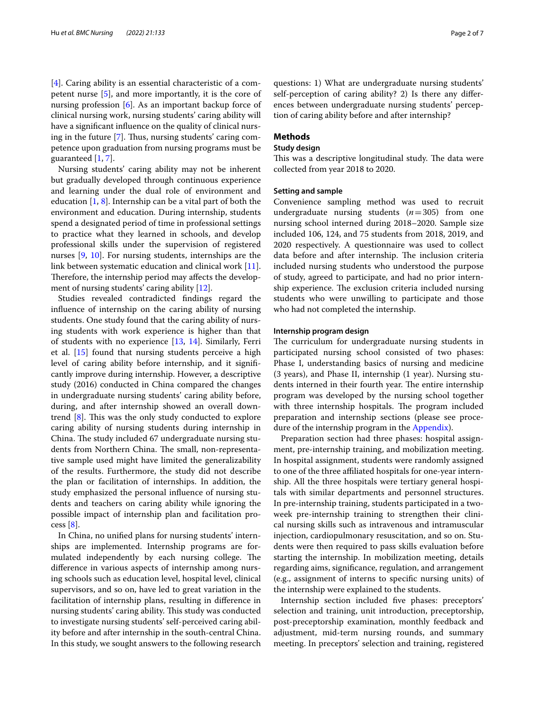[[4\]](#page-5-3). Caring ability is an essential characteristic of a competent nurse [\[5](#page-5-4)], and more importantly, it is the core of nursing profession [[6\]](#page-5-5). As an important backup force of clinical nursing work, nursing students' caring ability will have a signifcant infuence on the quality of clinical nurs-ing in the future [[7\]](#page-5-6). Thus, nursing students' caring competence upon graduation from nursing programs must be guaranteed [\[1,](#page-5-0) [7](#page-5-6)].

Nursing students' caring ability may not be inherent but gradually developed through continuous experience and learning under the dual role of environment and education  $[1, 8]$  $[1, 8]$  $[1, 8]$  $[1, 8]$ . Internship can be a vital part of both the environment and education. During internship, students spend a designated period of time in professional settings to practice what they learned in schools, and develop professional skills under the supervision of registered nurses [\[9,](#page-5-8) [10\]](#page-5-9). For nursing students, internships are the link between systematic education and clinical work [\[11](#page-5-10)]. Therefore, the internship period may affects the development of nursing students' caring ability [\[12](#page-5-11)].

Studies revealed contradicted fndings regard the infuence of internship on the caring ability of nursing students. One study found that the caring ability of nursing students with work experience is higher than that of students with no experience [\[13](#page-5-12), [14\]](#page-5-13). Similarly, Ferri et al. [\[15](#page-5-14)] found that nursing students perceive a high level of caring ability before internship, and it signifcantly improve during internship. However, a descriptive study (2016) conducted in China compared the changes in undergraduate nursing students' caring ability before, during, and after internship showed an overall downtrend  $[8]$  $[8]$ . This was the only study conducted to explore caring ability of nursing students during internship in China. The study included 67 undergraduate nursing students from Northern China. The small, non-representative sample used might have limited the generalizability of the results. Furthermore, the study did not describe the plan or facilitation of internships. In addition, the study emphasized the personal infuence of nursing students and teachers on caring ability while ignoring the possible impact of internship plan and facilitation process  $[8]$  $[8]$ .

In China, no unifed plans for nursing students' internships are implemented. Internship programs are formulated independently by each nursing college. The diference in various aspects of internship among nursing schools such as education level, hospital level, clinical supervisors, and so on, have led to great variation in the facilitation of internship plans, resulting in diference in nursing students' caring ability. This study was conducted to investigate nursing students' self-perceived caring ability before and after internship in the south-central China. In this study, we sought answers to the following research

questions: 1) What are undergraduate nursing students' self-perception of caring ability? 2) Is there any diferences between undergraduate nursing students' perception of caring ability before and after internship?

# **Methods**

## **Study design**

This was a descriptive longitudinal study. The data were collected from year 2018 to 2020.

#### **Setting and sample**

Convenience sampling method was used to recruit undergraduate nursing students (*n*=305) from one nursing school interned during 2018–2020. Sample size included 106, 124, and 75 students from 2018, 2019, and 2020 respectively. A questionnaire was used to collect data before and after internship. The inclusion criteria included nursing students who understood the purpose of study, agreed to participate, and had no prior internship experience. The exclusion criteria included nursing students who were unwilling to participate and those who had not completed the internship.

## **Internship program design**

The curriculum for undergraduate nursing students in participated nursing school consisted of two phases: Phase I, understanding basics of nursing and medicine (3 years), and Phase II, internship (1 year). Nursing students interned in their fourth year. The entire internship program was developed by the nursing school together with three internship hospitals. The program included preparation and internship sections (please see proce-dure of the internship program in the [Appendix](#page-4-0)).

Preparation section had three phases: hospital assignment, pre-internship training, and mobilization meeting. In hospital assignment, students were randomly assigned to one of the three affiliated hospitals for one-year internship. All the three hospitals were tertiary general hospitals with similar departments and personnel structures. In pre-internship training, students participated in a twoweek pre-internship training to strengthen their clinical nursing skills such as intravenous and intramuscular injection, cardiopulmonary resuscitation, and so on. Students were then required to pass skills evaluation before starting the internship. In mobilization meeting, details regarding aims, signifcance, regulation, and arrangement (e.g., assignment of interns to specifc nursing units) of the internship were explained to the students.

Internship section included fve phases: preceptors' selection and training, unit introduction, preceptorship, post-preceptorship examination, monthly feedback and adjustment, mid-term nursing rounds, and summary meeting. In preceptors' selection and training, registered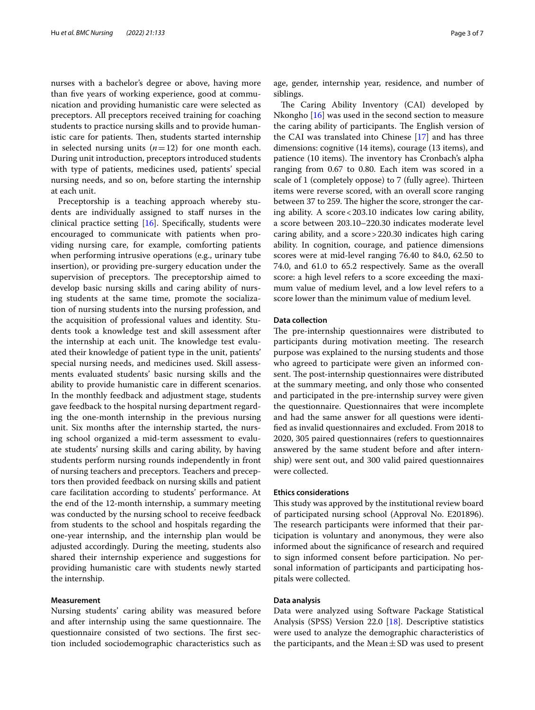nurses with a bachelor's degree or above, having more than fve years of working experience, good at communication and providing humanistic care were selected as preceptors. All preceptors received training for coaching students to practice nursing skills and to provide humanistic care for patients. Then, students started internship in selected nursing units  $(n=12)$  for one month each. During unit introduction, preceptors introduced students with type of patients, medicines used, patients' special nursing needs, and so on, before starting the internship at each unit.

Preceptorship is a teaching approach whereby students are individually assigned to staff nurses in the clinical practice setting [\[16](#page-5-15)]. Specifcally, students were encouraged to communicate with patients when providing nursing care, for example, comforting patients when performing intrusive operations (e.g., urinary tube insertion), or providing pre-surgery education under the supervision of preceptors. The preceptorship aimed to develop basic nursing skills and caring ability of nursing students at the same time, promote the socialization of nursing students into the nursing profession, and the acquisition of professional values and identity. Students took a knowledge test and skill assessment after the internship at each unit. The knowledge test evaluated their knowledge of patient type in the unit, patients' special nursing needs, and medicines used. Skill assessments evaluated students' basic nursing skills and the ability to provide humanistic care in diferent scenarios. In the monthly feedback and adjustment stage, students gave feedback to the hospital nursing department regarding the one-month internship in the previous nursing unit. Six months after the internship started, the nursing school organized a mid-term assessment to evaluate students' nursing skills and caring ability, by having students perform nursing rounds independently in front of nursing teachers and preceptors. Teachers and preceptors then provided feedback on nursing skills and patient care facilitation according to students' performance. At the end of the 12-month internship, a summary meeting was conducted by the nursing school to receive feedback from students to the school and hospitals regarding the one-year internship, and the internship plan would be adjusted accordingly. During the meeting, students also shared their internship experience and suggestions for providing humanistic care with students newly started the internship.

### **Measurement**

Nursing students' caring ability was measured before and after internship using the same questionnaire. The questionnaire consisted of two sections. The first section included sociodemographic characteristics such as age, gender, internship year, residence, and number of siblings.

The Caring Ability Inventory (CAI) developed by Nkongho [[16\]](#page-5-15) was used in the second section to measure the caring ability of participants. The English version of the CAI was translated into Chinese [[17\]](#page-5-16) and has three dimensions: cognitive (14 items), courage (13 items), and patience (10 items). The inventory has Cronbach's alpha ranging from 0.67 to 0.80. Each item was scored in a scale of 1 (completely oppose) to 7 (fully agree). Thirteen items were reverse scored, with an overall score ranging between 37 to 259. The higher the score, stronger the caring ability. A score  $< 203.10$  indicates low caring ability, a score between 203.10–220.30 indicates moderate level caring ability, and a score>220.30 indicates high caring ability. In cognition, courage, and patience dimensions scores were at mid-level ranging 76.40 to 84.0, 62.50 to 74.0, and 61.0 to 65.2 respectively. Same as the overall score: a high level refers to a score exceeding the maximum value of medium level, and a low level refers to a score lower than the minimum value of medium level.

### **Data collection**

The pre-internship questionnaires were distributed to participants during motivation meeting. The research purpose was explained to the nursing students and those who agreed to participate were given an informed consent. The post-internship questionnaires were distributed at the summary meeting, and only those who consented and participated in the pre-internship survey were given the questionnaire. Questionnaires that were incomplete and had the same answer for all questions were identifed as invalid questionnaires and excluded. From 2018 to 2020, 305 paired questionnaires (refers to questionnaires answered by the same student before and after internship) were sent out, and 300 valid paired questionnaires were collected.

#### **Ethics considerations**

This study was approved by the institutional review board of participated nursing school (Approval No. E201896). The research participants were informed that their participation is voluntary and anonymous, they were also informed about the signifcance of research and required to sign informed consent before participation. No personal information of participants and participating hospitals were collected.

## **Data analysis**

Data were analyzed using Software Package Statistical Analysis (SPSS) Version 22.0 [\[18](#page-5-17)]. Descriptive statistics were used to analyze the demographic characteristics of the participants, and the Mean $\pm$ SD was used to present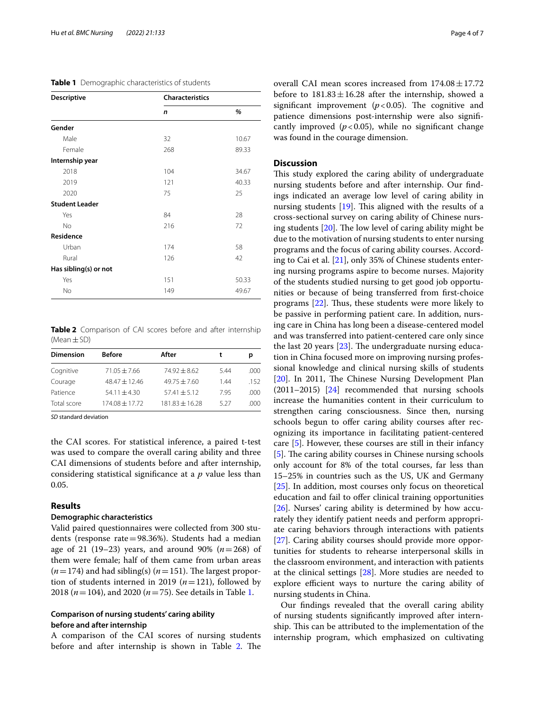<span id="page-3-0"></span>

| <b>Descriptive</b>    |     | <b>Characteristics</b> |  |  |
|-----------------------|-----|------------------------|--|--|
|                       | n   | %                      |  |  |
| Gender                |     |                        |  |  |
| Male                  | 32  | 10.67                  |  |  |
| Female                | 268 | 89.33                  |  |  |
| Internship year       |     |                        |  |  |
| 2018                  | 104 | 34.67                  |  |  |
| 2019                  | 121 | 40.33                  |  |  |
| 2020                  | 75  | 25                     |  |  |
| <b>Student Leader</b> |     |                        |  |  |
| Yes                   | 84  | 28                     |  |  |
| <b>No</b>             | 216 | 72                     |  |  |
| Residence             |     |                        |  |  |
| Urban                 | 174 | 58                     |  |  |
| Rural                 | 126 | 42                     |  |  |
| Has sibling(s) or not |     |                        |  |  |
| Yes                   | 151 | 50.33                  |  |  |
| No                    | 149 | 49.67                  |  |  |

<span id="page-3-1"></span>**Table 2** Comparison of CAI scores before and after internship (Mean±SD)

| <b>Dimension</b> | <b>Before</b>   | After              | t    | р    |
|------------------|-----------------|--------------------|------|------|
| Cognitive        | $71.05 + 7.66$  | $74.92 + 8.62$     | 5.44 | .000 |
| Courage          | $48.47 + 12.46$ | $49.75 + 7.60$     | 144  | 152  |
| Patience         | $54.11 + 4.30$  | $57.41 + 5.12$     | 795  | .000 |
| Total score      | 174.08 ± 17.72  | $181.83 \pm 16.28$ | 5.27 | .000 |

*SD* standard deviation

the CAI scores. For statistical inference, a paired t-test was used to compare the overall caring ability and three CAI dimensions of students before and after internship, considering statistical signifcance at a *p* value less than 0.05.

# **Results**

# **Demographic characteristics**

Valid paired questionnaires were collected from 300 students (response rate=98.36%). Students had a median age of 21 (19–23) years, and around 90% (*n*=268) of them were female; half of them came from urban areas  $(n=174)$  and had sibling(s)  $(n=151)$ . The largest proportion of students interned in 2019 (*n*=121), followed by 2018 (*n*=104), and 2020 (*n*=75). See details in Table [1.](#page-3-0)

# **Comparison of nursing students' caring ability before and after internship**

A comparison of the CAI scores of nursing students before and after internship is shown in Table [2.](#page-3-1) The overall CAI mean scores increased from  $174.08 \pm 17.72$ before to  $181.83 \pm 16.28$  after the internship, showed a significant improvement  $(p<0.05)$ . The cognitive and patience dimensions post-internship were also signifcantly improved  $(p<0.05)$ , while no significant change was found in the courage dimension.

# **Discussion**

This study explored the caring ability of undergraduate nursing students before and after internship. Our fndings indicated an average low level of caring ability in nursing students  $[19]$  $[19]$  $[19]$ . This aligned with the results of a cross-sectional survey on caring ability of Chinese nursing students  $[20]$  $[20]$  $[20]$ . The low level of caring ability might be due to the motivation of nursing students to enter nursing programs and the focus of caring ability courses. According to Cai et al. [\[21\]](#page-5-20), only 35% of Chinese students entering nursing programs aspire to become nurses. Majority of the students studied nursing to get good job opportunities or because of being transferred from frst-choice programs  $[22]$  $[22]$ . Thus, these students were more likely to be passive in performing patient care. In addition, nursing care in China has long been a disease-centered model and was transferred into patient-centered care only since the last 20 years  $[23]$  $[23]$ . The undergraduate nursing education in China focused more on improving nursing professional knowledge and clinical nursing skills of students [[20\]](#page-5-19). In 2011, The Chinese Nursing Development Plan (2011–2015) [\[24](#page-5-23)] recommended that nursing schools increase the humanities content in their curriculum to strengthen caring consciousness. Since then, nursing schools begun to offer caring ability courses after recognizing its importance in facilitating patient-centered care [\[5](#page-5-4)]. However, these courses are still in their infancy [[5\]](#page-5-4). The caring ability courses in Chinese nursing schools only account for 8% of the total courses, far less than 15–25% in countries such as the US, UK and Germany [[25\]](#page-5-24). In addition, most courses only focus on theoretical education and fail to offer clinical training opportunities [[26\]](#page-6-0). Nurses' caring ability is determined by how accurately they identify patient needs and perform appropriate caring behaviors through interactions with patients [[27\]](#page-6-1). Caring ability courses should provide more opportunities for students to rehearse interpersonal skills in the classroom environment, and interaction with patients at the clinical settings [[28\]](#page-6-2). More studies are needed to explore efficient ways to nurture the caring ability of nursing students in China.

Our fndings revealed that the overall caring ability of nursing students signifcantly improved after internship. This can be attributed to the implementation of the internship program, which emphasized on cultivating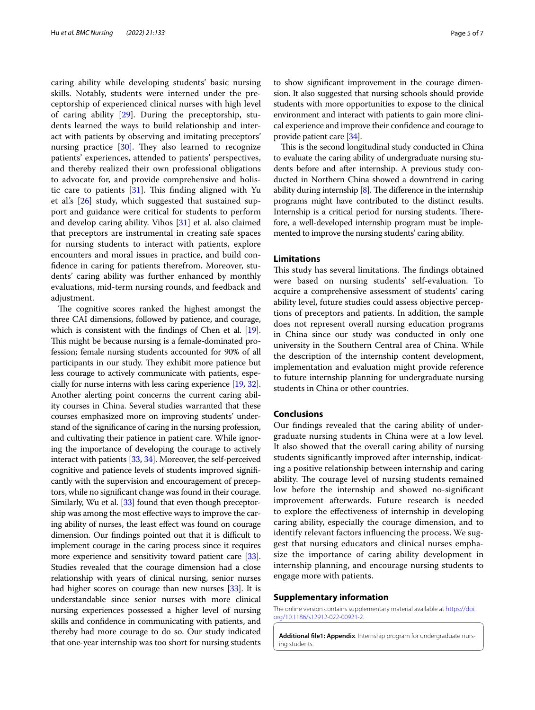caring ability while developing students' basic nursing skills. Notably, students were interned under the preceptorship of experienced clinical nurses with high level of caring ability  $[29]$  $[29]$  $[29]$ . During the preceptorship, students learned the ways to build relationship and interact with patients by observing and imitating preceptors' nursing practice  $[30]$ . They also learned to recognize patients' experiences, attended to patients' perspectives, and thereby realized their own professional obligations to advocate for, and provide comprehensive and holistic care to patients  $[31]$  $[31]$ . This finding aligned with Yu et al.'s [\[26](#page-6-0)] study, which suggested that sustained support and guidance were critical for students to perform and develop caring ability. Vihos [\[31\]](#page-6-5) et al. also claimed that preceptors are instrumental in creating safe spaces for nursing students to interact with patients, explore encounters and moral issues in practice, and build confdence in caring for patients therefrom. Moreover, students' caring ability was further enhanced by monthly evaluations, mid-term nursing rounds, and feedback and adjustment.

The cognitive scores ranked the highest amongst the three CAI dimensions, followed by patience, and courage, which is consistent with the findings of Chen et al. [[19](#page-5-18)]. This might be because nursing is a female-dominated profession; female nursing students accounted for 90% of all participants in our study. They exhibit more patience but less courage to actively communicate with patients, especially for nurse interns with less caring experience [\[19,](#page-5-18) [32](#page-6-6)]. Another alerting point concerns the current caring ability courses in China. Several studies warranted that these courses emphasized more on improving students' understand of the signifcance of caring in the nursing profession, and cultivating their patience in patient care. While ignoring the importance of developing the courage to actively interact with patients [\[33,](#page-6-7) [34\]](#page-6-8). Moreover, the self-perceived cognitive and patience levels of students improved signifcantly with the supervision and encouragement of preceptors, while no signifcant change was found in their courage. Similarly, Wu et al. [\[33\]](#page-6-7) found that even though preceptorship was among the most efective ways to improve the caring ability of nurses, the least efect was found on courage dimension. Our findings pointed out that it is difficult to implement courage in the caring process since it requires more experience and sensitivity toward patient care [[33](#page-6-7)]. Studies revealed that the courage dimension had a close relationship with years of clinical nursing, senior nurses had higher scores on courage than new nurses [\[33\]](#page-6-7). It is understandable since senior nurses with more clinical nursing experiences possessed a higher level of nursing skills and confdence in communicating with patients, and thereby had more courage to do so. Our study indicated that one-year internship was too short for nursing students

to show signifcant improvement in the courage dimension. It also suggested that nursing schools should provide students with more opportunities to expose to the clinical environment and interact with patients to gain more clinical experience and improve their confdence and courage to provide patient care [\[34](#page-6-8)].

This is the second longitudinal study conducted in China to evaluate the caring ability of undergraduate nursing students before and after internship. A previous study conducted in Northern China showed a downtrend in caring ability during internship  $[8]$ . The difference in the internship programs might have contributed to the distinct results. Internship is a critical period for nursing students. Therefore, a well-developed internship program must be implemented to improve the nursing students' caring ability.

# **Limitations**

This study has several limitations. The findings obtained were based on nursing students' self-evaluation. To acquire a comprehensive assessment of students' caring ability level, future studies could assess objective perceptions of preceptors and patients. In addition, the sample does not represent overall nursing education programs in China since our study was conducted in only one university in the Southern Central area of China. While the description of the internship content development, implementation and evaluation might provide reference to future internship planning for undergraduate nursing students in China or other countries.

#### **Conclusions**

Our fndings revealed that the caring ability of undergraduate nursing students in China were at a low level. It also showed that the overall caring ability of nursing students signifcantly improved after internship, indicating a positive relationship between internship and caring ability. The courage level of nursing students remained low before the internship and showed no-signifcant improvement afterwards. Future research is needed to explore the efectiveness of internship in developing caring ability, especially the courage dimension, and to identify relevant factors infuencing the process. We suggest that nursing educators and clinical nurses emphasize the importance of caring ability development in internship planning, and encourage nursing students to engage more with patients.

#### **Supplementary information**

The online version contains supplementary material available at [https://doi.](https://doi.org/10.1186/s12912-022-00921-2) [org/10.1186/s12912-022-00921-2](https://doi.org/10.1186/s12912-022-00921-2).

<span id="page-4-0"></span>**Additional fle1: Appendix**. Internship program for undergraduate nursing students.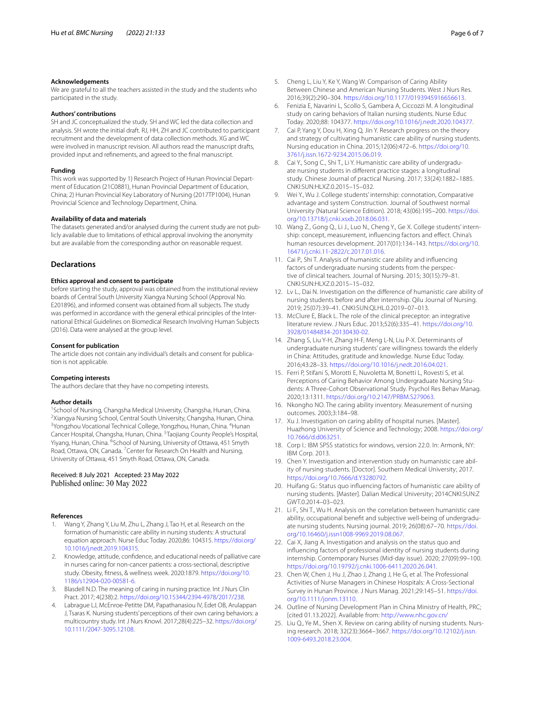#### **Acknowledgements**

We are grateful to all the teachers assisted in the study and the students who participated in the study.

#### **Authors' contributions**

SH and JC conceptualized the study. SH and WC led the data collection and analysis. SH wrote the initial draft. RJ, HH, ZH and JC contributed to participant recruitment and the development of data collection methods. XG and WC were involved in manuscript revision. All authors read the manuscript drafts, provided input and refnements, and agreed to the fnal manuscript.

#### **Funding**

This work was supported by 1) Research Project of Hunan Provincial Department of Education (21C0881), Hunan Provincial Department of Education, China; 2) Hunan Provincial Key Laboratory of Nursing (2017TP1004), Hunan Provincial Science and Technology Department, China.

## **Availability of data and materials**

The datasets generated and/or analysed during the current study are not publicly available due to limitations of ethical approval involving the anonymity but are available from the corresponding author on reasonable request.

### **Declarations**

## **Ethics approval and consent to participate**

before starting the study, approval was obtained from the institutional review boards of Central South University Xiangya Nursing School (Approval No. E201896), and informed consent was obtained from all subjects. The study was performed in accordance with the general ethical principles of the International Ethical Guidelines on Biomedical Research Involving Human Subjects (2016). Data were analysed at the group level.

#### **Consent for publication**

The article does not contain any individual's details and consent for publication is not applicable.

#### **Competing interests**

The authors declare that they have no competing interests.

#### **Author details**

<sup>1</sup> School of Nursing, Changsha Medical University, Changsha, Hunan, China.<br><sup>2</sup> Yiangya Nursing School, Contral South University, Changsha, Hunan, China. <sup>2</sup>Xiangya Nursing School, Central South University, Changsha, Hunan, China. <sup>3</sup> Yongzhou Vocational Technical College, Yongzhou, Hunan, China. <sup>4</sup> Hunan Cancer Hospital, Changsha, Hunan, China. <sup>5</sup>Taojiang County People's Hospital, Yiyang, Hunan, China. <sup>6</sup>School of Nursing, University of Ottawa, 451 Smyth Road, Ottawa, ON, Canada. <sup>7</sup> Center for Research On Health and Nursing, University of Ottawa, 451 Smyth Road, Ottawa, ON, Canada.

#### Received: 8 July 2021 Accepted: 23 May 2022 Published online: 30 May 2022

#### **References**

- <span id="page-5-0"></span>Wang Y, Zhang Y, Liu M, Zhu L, Zhang J, Tao H, et al. Research on the formation of humanistic care ability in nursing students: A structural equation approach. Nurse Educ Today. 2020;86: 104315. [https://doi.org/](https://doi.org/10.1016/j.nedt.2019.104315) [10.1016/j.nedt.2019.104315.](https://doi.org/10.1016/j.nedt.2019.104315)
- <span id="page-5-1"></span>2. Knowledge, attitude, confdence, and educational needs of palliative care in nurses caring for non-cancer patients: a cross-sectional, descriptive study. Obesity, ftness, & wellness week. 2020:1879. [https://doi.org/10.](https://doi.org/10.1186/s12904-020-00581-6) [1186/s12904-020-00581-6.](https://doi.org/10.1186/s12904-020-00581-6)
- <span id="page-5-2"></span>3. Blasdell N.D. The meaning of caring in nursing practice. Int J Nurs Clin Pract. 2017; 4(238):2. [https://doi.org/10.15344/2394-4978/2017/238.](https://doi.org/10.15344/2394-4978/2017/238)
- <span id="page-5-3"></span>4. Labrague LJ, McEnroe-Petitte DM, Papathanasiou IV, Edet OB, Arulappan J, Tsaras K. Nursing students' perceptions of their own caring behaviors: a multicountry study. Int J Nurs Knowl. 2017;28(4):225–32. [https://doi.org/](https://doi.org/10.1111/2047-3095.12108) [10.1111/2047-3095.12108.](https://doi.org/10.1111/2047-3095.12108)
- <span id="page-5-4"></span>5. Cheng L, Liu Y, Ke Y, Wang W. Comparison of Caring Ability Between Chinese and American Nursing Students. West J Nurs Res. 2016;39(2):290–304. <https://doi.org/10.1177/0193945916656613>.
- <span id="page-5-5"></span>6. Fenizia E, Navarini L, Scollo S, Gambera A, Ciccozzi M. A longitudinal study on caring behaviors of Italian nursing students. Nurse Educ Today. 2020;88: 104377. <https://doi.org/10.1016/j.nedt.2020.104377>.
- <span id="page-5-6"></span>7. Cai P, Yang Y, Dou H, Xing Q, Jin Y. Research progress on the theory and strategy of cultivating humanistic care ability of nursing students. Nursing education in China. 2015;12(06):472–6. [https://doi.org/10.](https://doi.org/10.3761/j.issn.1672-9234.2015.06.019) [3761/j.issn.1672-9234.2015.06.019](https://doi.org/10.3761/j.issn.1672-9234.2015.06.019).
- <span id="page-5-7"></span>8. Cai Y., Song C., Shi T., Li Y. Humanistic care ability of undergraduate nursing students in diferent practice stages: a longitudinal study. Chinese Journal of practical Nursing. 2017; 33(24):1882–1885. CNKI:SUN:HLXZ.0.2015–15–032.
- <span id="page-5-8"></span>9. Wei Y., Wu J. College students' internship: connotation, Comparative advantage and system Construction. Journal of Southwest normal University (Natural Science Edition). 2018; 43(06):195–200. [https://doi.](https://doi.org/10.13718/j.cnki.xsxb.2018.06.031) [org/10.13718/j.cnki.xsxb.2018.06.031](https://doi.org/10.13718/j.cnki.xsxb.2018.06.031).
- <span id="page-5-9"></span>10. Wang Z., Gong Q., Li J., Luo N., Cheng Y., Ge X. College students' internship: concept, measurement, infuencing factors and efect. China's human resources development. 2017(01):134–143. [https://doi.org/10.](https://doi.org/10.16471/j.cnki.11-2822/c.2017.01.016) [16471/j.cnki.11-2822/c.2017.01.016.](https://doi.org/10.16471/j.cnki.11-2822/c.2017.01.016)
- <span id="page-5-10"></span>11. Cai P., Shi T. Analysis of humanistic care ability and infuencing factors of undergraduate nursing students from the perspective of clinical teachers. Journal of Nursing. 2015; 30(15):79–81. CNKI:SUN:HLXZ.0.2015–15–032.
- <span id="page-5-11"></span>12. Lv L., Dai N. Investigation on the diference of humanistic care ability of nursing students before and after internship. Qilu Journal of Nursing. 2019; 25(07):39–41. CNKI:SUN:QLHL.0.2019–07–013.
- <span id="page-5-12"></span>13. McClure E, Black L. The role of the clinical preceptor: an integrative literature review. J Nurs Educ. 2013;52(6):335–41. [https://doi.org/10.](https://doi.org/10.3928/01484834-20130430-02) [3928/01484834-20130430-02.](https://doi.org/10.3928/01484834-20130430-02)
- <span id="page-5-13"></span>14. Zhang S, Liu Y-H, Zhang H-F, Meng L-N, Liu P-X. Determinants of undergraduate nursing students' care willingness towards the elderly in China: Attitudes, gratitude and knowledge. Nurse Educ Today. 2016;43:28–33.<https://doi.org/10.1016/j.nedt.2016.04.021>.
- <span id="page-5-14"></span>15. Ferri P, Stifani S, Morotti E, Nuvoletta M, Bonetti L, Rovesti S, et al. Perceptions of Caring Behavior Among Undergraduate Nursing Students: A Three-Cohort Observational Study. Psychol Res Behav Manag. 2020;13:1311. [https://doi.org/10.2147/PRBM.S279063.](https://doi.org/10.2147/PRBM.S279063)
- <span id="page-5-15"></span>16. Nkongho NO. The caring ability inventory. Measurement of nursing outcomes. 2003;3:184–98.
- <span id="page-5-16"></span>17. Xu J. Investigation on caring ability of hospital nurses. [Master]. Huazhong University of Science and Technology; 2008. [https://doi.org/](https://doi.org/10.7666/d.d063251) [10.7666/d.d063251.](https://doi.org/10.7666/d.d063251)
- <span id="page-5-17"></span>18. Corp I.: IBM SPSS statistics for windows, version 22.0. In: Armonk, NY: IBM Corp*.* 2013.
- <span id="page-5-18"></span>19. Chen Y. Investigation and intervention study on humanistic care ability of nursing students. [Doctor]. Southern Medical University; 2017. [https://doi.org/10.7666/d.Y3280792.](https://doi.org/10.7666/d.Y3280792)
- <span id="page-5-19"></span>20. Huifang G.: Status quo infuencing factors of humanistic care ability of nursing students. [Master]. Dalian Medical University; 2014CNKI:SUN:Z GWT.0.2014–03–023.
- <span id="page-5-20"></span>21. Li F., Shi T., Wu H. Analysis on the correlation between humanistic care ability, occupational beneft and subjective well-being of undergraduate nursing students. Nursing journal. 2019; 26(08):67–70. [https://doi.](https://doi.org/10.16460/j.issn1008-9969.2019.08.067) [org/10.16460/j.issn1008-9969.2019.08.067.](https://doi.org/10.16460/j.issn1008-9969.2019.08.067)
- <span id="page-5-21"></span>22. Cai X, Jiang A. Investigation and analysis on the status quo and infuencing factors of professional identity of nursing students during internship. Contemporary Nurses (Mid-day issue). 2020; 27(09):99–100. [https://doi.org/10.19792/j.cnki.1006-6411.2020.26.041.](https://doi.org/10.19792/j.cnki.1006-6411.2020.26.041)
- <span id="page-5-22"></span>23. Chen W, Chen J, Hu J, Zhao J, Zhang J, He G, et al. The Professional Activities of Nurse Managers in Chinese Hospitals: A Cross-Sectional Survey in Hunan Province. J Nurs Manag. 2021;29:145–51. [https://doi.](https://doi.org/10.1111/jonm.13110) [org/10.1111/jonm.13110](https://doi.org/10.1111/jonm.13110).
- <span id="page-5-23"></span>24. Outline of Nursing Development Plan in China Ministry of Health, PRC; [cited 01.13.2022]. Available from: <http://www.nhc.gov.cn/>
- <span id="page-5-24"></span>25. Liu Q., Ye M., Shen X. Review on caring ability of nursing students. Nursing research. 2018; 32(23):3664–3667. [https://doi.org/10.12102/j.issn.](https://doi.org/10.12102/j.issn.1009-6493.2018.23.004) [1009-6493.2018.23.004](https://doi.org/10.12102/j.issn.1009-6493.2018.23.004).